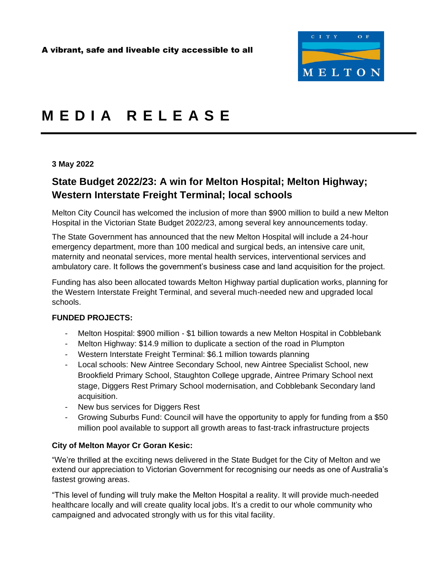

# **M E D I A R E L E A S E**

#### **3 May 2022**

## **State Budget 2022/23: A win for Melton Hospital; Melton Highway; Western Interstate Freight Terminal; local schools**

Melton City Council has welcomed the inclusion of more than \$900 million to build a new Melton Hospital in the Victorian State Budget 2022/23, among several key announcements today.

The State Government has announced that the new Melton Hospital will include a 24-hour emergency department, more than 100 medical and surgical beds, an intensive care unit, maternity and neonatal services, more mental health services, interventional services and ambulatory care. It follows the government's business case and land acquisition for the project.

Funding has also been allocated towards Melton Highway partial duplication works, planning for the Western Interstate Freight Terminal, and several much-needed new and upgraded local schools.

### **FUNDED PROJECTS:**

- Melton Hospital: \$900 million \$1 billion towards a new Melton Hospital in Cobblebank
- Melton Highway: \$14.9 million to duplicate a section of the road in Plumpton
- Western Interstate Freight Terminal: \$6.1 million towards planning
- Local schools: New Aintree Secondary School, new Aintree Specialist School, new Brookfield Primary School, Staughton College upgrade, Aintree Primary School next stage, Diggers Rest Primary School modernisation, and Cobblebank Secondary land acquisition.
- New bus services for Diggers Rest
- Growing Suburbs Fund: Council will have the opportunity to apply for funding from a \$50 million pool available to support all growth areas to fast-track infrastructure projects

### **City of Melton Mayor Cr Goran Kesic:**

"We're thrilled at the exciting news delivered in the State Budget for the City of Melton and we extend our appreciation to Victorian Government for recognising our needs as one of Australia's fastest growing areas.

"This level of funding will truly make the Melton Hospital a reality. It will provide much-needed healthcare locally and will create quality local jobs. It's a credit to our whole community who campaigned and advocated strongly with us for this vital facility.